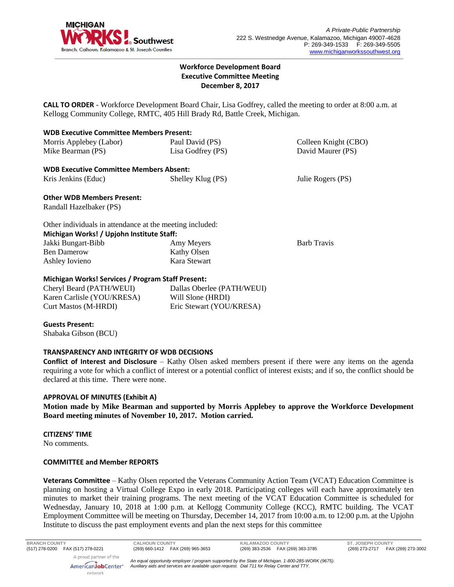

# **Workforce Development Board Executive Committee Meeting December 8, 2017**

**CALL TO ORDER** - Workforce Development Board Chair, Lisa Godfrey, called the meeting to order at 8:00 a.m. at Kellogg Community College, RMTC, 405 Hill Brady Rd, Battle Creek, Michigan.

| <b>WDB Executive Committee Members Present:</b>          |                            |                      |
|----------------------------------------------------------|----------------------------|----------------------|
| Morris Applebey (Labor)                                  | Paul David (PS)            | Colleen Knight (CBO) |
| Mike Bearman (PS)                                        | Lisa Godfrey (PS)          | David Maurer (PS)    |
| <b>WDB Executive Committee Members Absent:</b>           |                            |                      |
| Kris Jenkins (Educ)                                      | Shelley Klug (PS)          | Julie Rogers (PS)    |
| <b>Other WDB Members Present:</b>                        |                            |                      |
| Randall Hazelbaker (PS)                                  |                            |                      |
| Other individuals in attendance at the meeting included: |                            |                      |
| Michigan Works! / Upjohn Institute Staff:                |                            |                      |
| Jakki Bungart-Bibb                                       | Amy Meyers                 | <b>Barb Travis</b>   |
| <b>Ben Damerow</b>                                       | Kathy Olsen                |                      |
| Ashley Iovieno                                           | Kara Stewart               |                      |
| <b>Michigan Works! Services / Program Staff Present:</b> |                            |                      |
| Cheryl Beard (PATH/WEUI)                                 | Dallas Oberlee (PATH/WEUI) |                      |
| Karen Carlisle (YOU/KRESA)                               | Will Slone (HRDI)          |                      |

Eric Stewart (YOU/KRESA)

### **Guests Present:**

Shabaka Gibson (BCU)

Curt Mastos (M-HRDI)

### **TRANSPARENCY AND INTEGRITY OF WDB DECISIONS**

**Conflict of Interest and Disclosure** – Kathy Olsen asked members present if there were any items on the agenda requiring a vote for which a conflict of interest or a potential conflict of interest exists; and if so, the conflict should be declared at this time. There were none.

### **APPROVAL OF MINUTES (Exhibit A)**

**Motion made by Mike Bearman and supported by Morris Applebey to approve the Workforce Development Board meeting minutes of November 10, 2017. Motion carried.** 

### **CITIZENS' TIME**

No comments.

### **COMMITTEE and Member REPORTS**

**Veterans Committee** – Kathy Olsen reported the Veterans Community Action Team (VCAT) Education Committee is planning on hosting a Virtual College Expo in early 2018. Participating colleges will each have approximately ten minutes to market their training programs. The next meeting of the VCAT Education Committee is scheduled for Wednesday, January 10, 2018 at 1:00 p.m. at Kellogg Community College (KCC), RMTC building. The VCAT Employment Committee will be meeting on Thursday, December 14, 2017 from 10:00 a.m. to 12:00 p.m. at the Upjohn Institute to discuss the past employment events and plan the next steps for this committee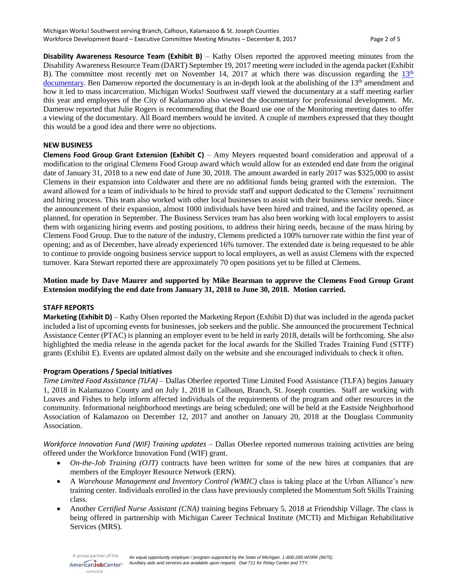**Disability Awareness Resource Team (Exhibit B)** – Kathy Olsen reported the approved meeting minutes from the Disability Awareness Resource Team (DART) September 19, 2017 meeting were included in the agenda packet (Exhibit B). The committee most recently met on November 14, 2017 at which there was discussion regarding the  $13<sup>th</sup>$  $13<sup>th</sup>$ [documentary.](https://www.netflix.com/title/80091741) Ben Damerow reported the documentary is an in-depth look at the abolishing of the 13<sup>th</sup> amendment and how it led to mass incarceration. Michigan Works! Southwest staff viewed the documentary at a staff meeting earlier this year and employees of the City of Kalamazoo also viewed the documentary for professional development. Mr. Damerow reported that Julie Rogers is recommending that the Board use one of the Monitoring meeting dates to offer a viewing of the documentary. All Board members would be invited. A couple of members expressed that they thought this would be a good idea and there were no objections.

### **NEW BUSINESS**

**Clemens Food Group Grant Extension (Exhibit C)** – Amy Meyers requested board consideration and approval of a modification to the original Clemens Food Group award which would allow for an extended end date from the original date of January 31, 2018 to a new end date of June 30, 2018. The amount awarded in early 2017 was \$325,000 to assist Clemens in their expansion into Coldwater and there are no additional funds being granted with the extension. The award allowed for a team of individuals to be hired to provide staff and support dedicated to the Clemens' recruitment and hiring process. This team also worked with other local businesses to assist with their business service needs. Since the announcement of their expansion, almost 1000 individuals have been hired and trained, and the facility opened, as planned, for operation in September. The Business Services team has also been working with local employers to assist them with organizing hiring events and posting positions, to address their hiring needs, because of the mass hiring by Clemens Food Group. Due to the nature of the industry, Clemens predicted a 100% turnover rate within the first year of opening; and as of December, have already experienced 16% turnover. The extended date is being requested to be able to continue to provide ongoing business service support to local employers, as well as assist Clemens with the expected turnover. Kara Stewart reported there are approximately 70 open positions yet to be filled at Clemens.

# **Motion made by Dave Maurer and supported by Mike Bearman to approve the Clemens Food Group Grant Extension modifying the end date from January 31, 2018 to June 30, 2018. Motion carried.**

#### **STAFF REPORTS**

**Marketing (Exhibit D)** – Kathy Olsen reported the Marketing Report (Exhibit D) that was included in the agenda packet included a list of upcoming events for businesses, job seekers and the public. She announced the procurement Technical Assistance Center (PTAC) is planning an employer event to be held in early 2018, details will be forthcoming. She also highlighted the media release in the agenda packet for the local awards for the Skilled Trades Training Fund (STTF) grants (Exhibit E). Events are updated almost daily on the website and she encouraged individuals to check it often.

### **Program Operations / Special Initiatives**

*Time Limited Food Assistance (TLFA)* – Dallas Oberlee reported Time Limited Food Assistance (TLFA) begins January 1, 2018 in Kalamazoo County and on July 1, 2018 in Calhoun, Branch, St. Joseph counties. Staff are working with Loaves and Fishes to help inform affected individuals of the requirements of the program and other resources in the community. Informational neighborhood meetings are being scheduled; one will be held at the Eastside Neighborhood Association of Kalamazoo on December 12, 2017 and another on January 20, 2018 at the Douglass Community Association.

*Workforce Innovation Fund (WIF) Training updates –* Dallas Oberlee reported numerous training activities are being offered under the Workforce Innovation Fund (WIF) grant.

- *On-the-Job Training (OJT)* contracts have been written for some of the new hires at companies that are members of the Employer Resource Network (ERN).
- A *Warehouse Management and Inventory Control (WMIC)* class is taking place at the Urban Alliance's new training center. Individuals enrolled in the class have previously completed the Momentum Soft Skills Training class.
- Another *Certified Nurse Assistant (CNA)* training begins February 5, 2018 at Friendship Village. The class is being offered in partnership with Michigan Career Technical Institute (MCTI) and Michigan Rehabilitative Services (MRS).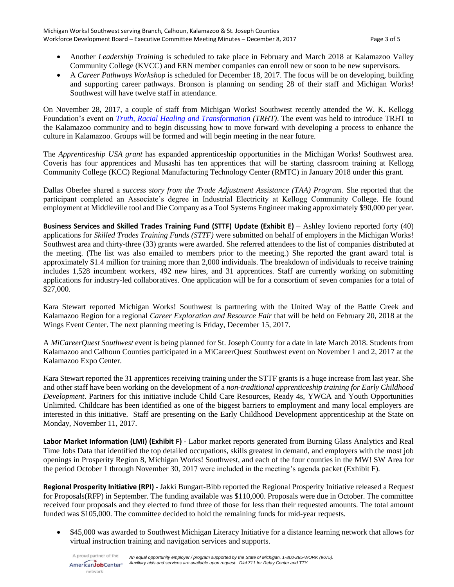- Another *Leadership Training* is scheduled to take place in February and March 2018 at Kalamazoo Valley Community College (KVCC) and ERN member companies can enroll new or soon to be new supervisors.
- A *Career Pathways Workshop* is scheduled for December 18, 2017. The focus will be on developing, building and supporting career pathways. Bronson is planning on sending 28 of their staff and Michigan Works! Southwest will have twelve staff in attendance.

On November 28, 2017, a couple of staff from Michigan Works! Southwest recently attended the W. K. Kellogg Foundation's event on *[Truth, Racial Healing and Transformation](https://www.wkkf.org/what-we-do/racial-equity/truth-racial-healing-transformation) (TRHT)*. The event was held to introduce TRHT to the Kalamazoo community and to begin discussing how to move forward with developing a process to enhance the culture in Kalamazoo. Groups will be formed and will begin meeting in the near future.

The *Apprenticeship USA grant* has expanded apprenticeship opportunities in the Michigan Works! Southwest area. Coveris has four apprentices and Musashi has ten apprentices that will be starting classroom training at Kellogg Community College (KCC) Regional Manufacturing Technology Center (RMTC) in January 2018 under this grant.

Dallas Oberlee shared a *success story from the Trade Adjustment Assistance (TAA) Program*. She reported that the participant completed an Associate's degree in Industrial Electricity at Kellogg Community College. He found employment at Middleville tool and Die Company as a Tool Systems Engineer making approximately \$90,000 per year.

**Business Services and Skilled Trades Training Fund (STTF) Update (Exhibit E)** – Ashley Iovieno reported forty (40) applications for *Skilled Trades Training Funds (STTF)* were submitted on behalf of employers in the Michigan Works! Southwest area and thirty-three (33) grants were awarded. She referred attendees to the list of companies distributed at the meeting. (The list was also emailed to members prior to the meeting.) She reported the grant award total is approximately \$1.4 million for training more than 2,000 individuals. The breakdown of individuals to receive training includes 1,528 incumbent workers, 492 new hires, and 31 apprentices. Staff are currently working on submitting applications for industry-led collaboratives. One application will be for a consortium of seven companies for a total of \$27,000.

Kara Stewart reported Michigan Works! Southwest is partnering with the United Way of the Battle Creek and Kalamazoo Region for a regional *Career Exploration and Resource Fair* that will be held on February 20, 2018 at the Wings Event Center. The next planning meeting is Friday, December 15, 2017.

A *MiCareerQuest Southwest* event is being planned for St. Joseph County for a date in late March 2018. Students from Kalamazoo and Calhoun Counties participated in a MiCareerQuest Southwest event on November 1 and 2, 2017 at the Kalamazoo Expo Center.

Kara Stewart reported the 31 apprentices receiving training under the STTF grants is a huge increase from last year. She and other staff have been working on the development of a *non-traditional apprenticeship training for Early Childhood Development*. Partners for this initiative include Child Care Resources, Ready 4s, YWCA and Youth Opportunities Unlimited. Childcare has been identified as one of the biggest barriers to employment and many local employers are interested in this initiative. Staff are presenting on the Early Childhood Development apprenticeship at the State on Monday, November 11, 2017.

**Labor Market Information (LMI) (Exhibit F)** - Labor market reports generated from Burning Glass Analytics and Real Time Jobs Data that identified the top detailed occupations, skills greatest in demand, and employers with the most job openings in Prosperity Region 8, Michigan Works! Southwest, and each of the four counties in the MW! SW Area for the period October 1 through November 30, 2017 were included in the meeting's agenda packet (Exhibit F).

**Regional Prosperity Initiative (RPI) -** Jakki Bungart-Bibb reported the Regional Prosperity Initiative released a Request for Proposals(RFP) in September. The funding available was \$110,000. Proposals were due in October. The committee received four proposals and they elected to fund three of those for less than their requested amounts. The total amount funded was \$105,000. The committee decided to hold the remaining funds for mid-year requests.

• \$45,000 was awarded to Southwest Michigan Literacy Initiative for a distance learning network that allows for virtual instruction training and navigation services and supports.

network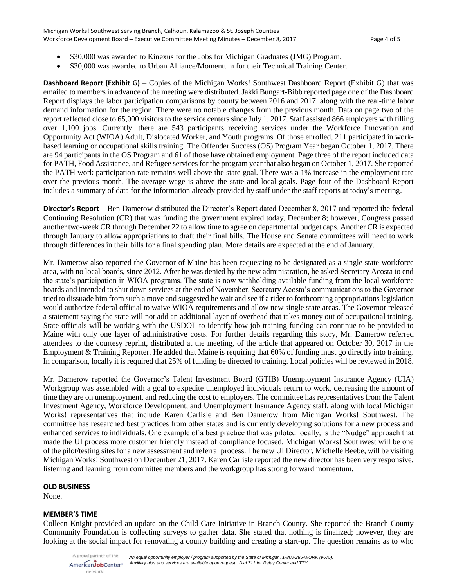- \$30,000 was awarded to Kinexus for the Jobs for Michigan Graduates (JMG) Program.
- \$30,000 was awarded to Urban Alliance/Momentum for their Technical Training Center.

**Dashboard Report (Exhibit G)** – Copies of the Michigan Works! Southwest Dashboard Report (Exhibit G) that was emailed to members in advance of the meeting were distributed. Jakki Bungart-Bibb reported page one of the Dashboard Report displays the labor participation comparisons by county between 2016 and 2017, along with the real-time labor demand information for the region. There were no notable changes from the previous month. Data on page two of the report reflected close to 65,000 visitors to the service centers since July 1, 2017. Staff assisted 866 employers with filling over 1,100 jobs. Currently, there are 543 participants receiving services under the Workforce Innovation and Opportunity Act (WIOA) Adult, Dislocated Worker, and Youth programs. Of those enrolled, 211 participated in workbased learning or occupational skills training. The Offender Success (OS) Program Year began October 1, 2017. There are 94 participants in the OS Program and 61 of those have obtained employment. Page three of the report included data for PATH, Food Assistance, and Refugee services for the program year that also began on October 1, 2017. She reported the PATH work participation rate remains well above the state goal. There was a 1% increase in the employment rate over the previous month. The average wage is above the state and local goals. Page four of the Dashboard Report includes a summary of data for the information already provided by staff under the staff reports at today's meeting.

**Director's Report** – Ben Damerow distributed the Director's Report dated December 8, 2017 and reported the federal Continuing Resolution (CR) that was funding the government expired today, December 8; however, Congress passed another two-week CR through December 22 to allow time to agree on departmental budget caps. Another CR is expected through January to allow appropriations to draft their final bills. The House and Senate committees will need to work through differences in their bills for a final spending plan. More details are expected at the end of January.

Mr. Damerow also reported the Governor of Maine has been requesting to be designated as a single state workforce area, with no local boards, since 2012. After he was denied by the new administration, he asked Secretary Acosta to end the state's participation in WIOA programs. The state is now withholding available funding from the local workforce boards and intended to shut down services at the end of November. Secretary Acosta's communications to the Governor tried to dissuade him from such a move and suggested he wait and see if a rider to forthcoming appropriations legislation would authorize federal official to waive WIOA requirements and allow new single state areas. The Governor released a statement saying the state will not add an additional layer of overhead that takes money out of occupational training. State officials will be working with the USDOL to identify how job training funding can continue to be provided to Maine with only one layer of administrative costs. For further details regarding this story, Mr. Damerow referred attendees to the courtesy reprint, distributed at the meeting, of the article that appeared on October 30, 2017 in the Employment & Training Reporter. He added that Maine is requiring that 60% of funding must go directly into training. In comparison, locally it is required that 25% of funding be directed to training. Local policies will be reviewed in 2018.

Mr. Damerow reported the Governor's Talent Investment Board (GTIB) Unemployment Insurance Agency (UIA) Workgroup was assembled with a goal to expedite unemployed individuals return to work, decreasing the amount of time they are on unemployment, and reducing the cost to employers. The committee has representatives from the Talent Investment Agency, Workforce Development, and Unemployment Insurance Agency staff, along with local Michigan Works! representatives that include Karen Carlisle and Ben Damerow from Michigan Works! Southwest. The committee has researched best practices from other states and is currently developing solutions for a new process and enhanced services to individuals. One example of a best practice that was piloted locally, is the "Nudge" approach that made the UI process more customer friendly instead of compliance focused. Michigan Works! Southwest will be one of the pilot/testing sites for a new assessment and referral process. The new UI Director, Michelle Beebe, will be visiting Michigan Works! Southwest on December 21, 2017. Karen Carlisle reported the new director has been very responsive, listening and learning from committee members and the workgroup has strong forward momentum.

### **OLD BUSINESS**

None.

# **MEMBER'S TIME**

Colleen Knight provided an update on the Child Care Initiative in Branch County. She reported the Branch County Community Foundation is collecting surveys to gather data. She stated that nothing is finalized; however, they are looking at the social impact for renovating a county building and creating a start-up. The question remains as to who